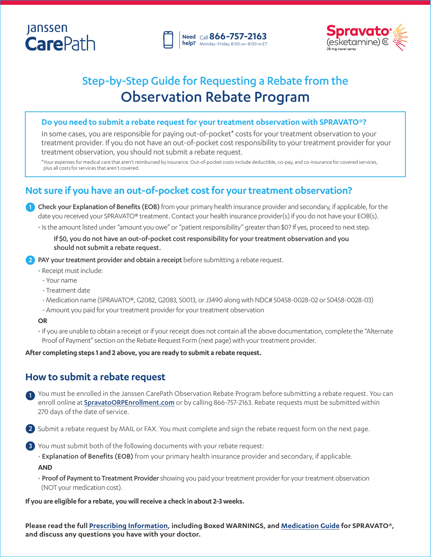# **Janssen CarePath**





# Step-by-Step Guide for Requesting a Rebate from the Observation Rebate Program

### **Do you need to submit a rebate request for your treatment observation with SPRAVATO®?**

In some cases, you are responsible for paying out-of-pocket\* costs for your treatment observation to your treatment provider. If you do not have an out-of-pocket cost responsibility to your treatment provider for your treatment observation, you should not submit a rebate request.

\*Your expenses for medical care that aren't reimbursed by insurance. Out-of-pocket costs include deductible, co-pay, and co-insurance for covered services, plus all costs for services that aren't covered.

## **Not sure if you have an out-of-pocket cost for your treatment observation?**

1) Check your Explanation of Benefits (EOB) from your primary health insurance provider and secondary, if applicable, for the date you received your SPRAVATO® treatment. Contact your health insurance provider(s) if you do not have your EOB(s).

• Is the amount listed under "amount you owe" or "patient responsibility" greater than \$0? If yes, proceed to next step.

If \$0, you do not have an out-of-pocket cost responsibility for your treatment observation and you should not submit a rebate request.

2) PAY your treatment provider and obtain a receipt before submitting a rebate request.

- Receipt must include:
- Your name
- Treatment date
- Medication name (SPRAVATO®, G2082, G2083, S0013, or J3490 along with NDC# 50458-0028-02 or 50458-0028-03)
- Amount you paid for your treatment provider for your treatment observation

### **OR**

• If you are unable to obtain a receipt or if your receipt does not contain all the above documentation, complete the "Alternate Proof of Payment" section on the Rebate Request Form (next page) with your treatment provider.

**After completing steps 1 and 2 above, you are ready to submit a rebate request.**

## **How to submit a rebate request**

You must be enrolled in the Janssen CarePath Observation Rebate Program before submitting a rebate request. You can 1 enroll online at **[SpravatoORPEnrollment.com](https://www.spravatoorpenrollment.com/)** or by calling 866-757-2163. Rebate requests must be submitted within 270 days of the date of service.

Submit a rebate request by MAIL or FAX. You must complete and sign the rebate request form on the next page. 2

3 You must submit both of the following documents with your rebate request:

• Explanation of Benefits (EOB) from your primary health insurance provider and secondary, if applicable. **AND**

• Proof of Payment to Treatment Provider showing you paid your treatment provider for your treatment observation (NOT your medication cost).

**If you are eligible for a rebate, you will receive a check in about 2-3 weeks.**

**Please read the full [Prescribing Information](https://www.janssenlabels.com/package-insert/product-monograph/prescribing-information/SPRAVATO-pi.pdf), including Boxed WARNINGS, and [Medication Guide](https://www.janssenlabels.com/package-insert/product-patient-information/SPRAVATO-medication-guide.pdf) for SPRAVATO®, and discuss any questions you have with your doctor.**